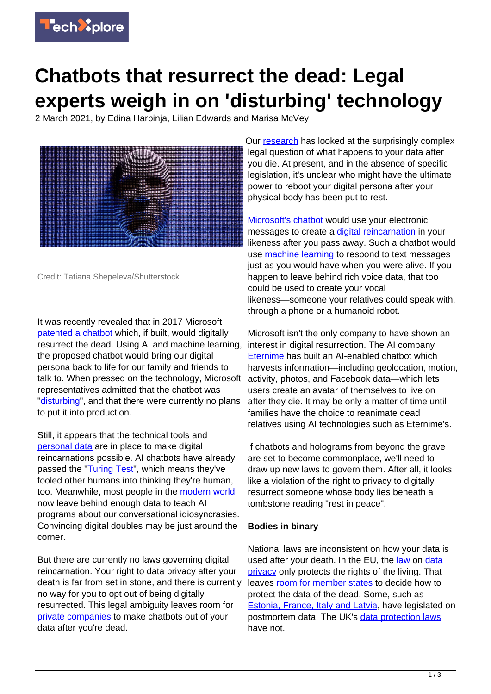

## **Chatbots that resurrect the dead: Legal experts weigh in on 'disturbing' technology**

2 March 2021, by Edina Harbinja, Lilian Edwards and Marisa McVey



Credit: Tatiana Shepeleva/Shutterstock

It was recently revealed that in 2017 Microsoft [patented a chatbot](https://www.independent.co.uk/life-style/gadgets-and-tech/microsoft-chatbot-patent-dead-b1789979.html) which, if built, would digitally resurrect the dead. Using AI and machine learning, the proposed chatbot would bring our digital persona back to life for our family and friends to talk to. When pressed on the technology, Microsoft representatives admitted that the chatbot was ["disturbing"](https://twitter.com/_TimOBrien/status/1352645952310439936), and that there were currently no plans to put it into production.

Still, it appears that the technical tools and [personal data](https://techxplore.com/tags/personal+data/) are in place to make digital reincarnations possible. AI chatbots have already passed the ["Turing Test"](https://www.bbc.co.uk/news/technology-27762088), which means they've fooled other humans into thinking they're human, too. Meanwhile, most people in the [modern world](https://techxplore.com/tags/modern+world/) now leave behind enough data to teach AI programs about our conversational idiosyncrasies. Convincing digital doubles may be just around the corner.

But there are currently no laws governing digital reincarnation. Your right to data privacy after your death is far from set in stone, and there is currently no way for you to opt out of being digitally resurrected. This legal ambiguity leaves room for [private companies](https://techxplore.com/tags/private+companies/) to make chatbots out of your data after you're dead.

Our [research](https://edinburghuniversitypress.com/book-future-law.html) has looked at the surprisingly complex legal question of what happens to your data after you die. At present, and in the absence of specific legislation, it's unclear who might have the ultimate power to reboot your digital persona after your physical body has been put to rest.

[Microsoft's chatbot](https://pdfpiw.uspto.gov/.piw?PageNum=0&docid=10853717&IDKey=6E72242A6301&HomeUrl=http%3A%2F%2Fpatft.uspto.gov%2Fnetacgi%2Fnph-Parser%3FSect1%3DPTO2%2526Sect2%3DHITOFF%2526p%3D1%2526u%3-D%25252Fnetahtml%25252FPTO%25252Fsearch-bool.html%2526r%3D31%2526f%3DG%2526l%3D50%2526co1%3DAND%2526d%3DPTXT%2526s1%3Dmicrosoft.ASNM.%2526OS%3DAN%2Fmicrosoft%2526RS%3DAN%2Fmicrosofthttps://pdfpiw.uspto.gov/.piw?PageNum=0&docid=10853717&IDKey=6E72242A6301&HomeUrl=http%3A%2F%2Fpatft.uspto.gov%2Fnetacgi%2Fnph-Parser%3FSect1%3DPTO2%2526Sect2%3DHITOFF%2526p%3D1%2526u%3-D%25252Fnetahtml%25252FPTO%25252Fsearch-bool.html%2526r%3D31%2526f%3DG%2526l%3D50%2526co1%3DAND%2526d%3DPTXT%2526s1%3Dmicrosoft.ASNM.%2526OS%3DAN%2Fmicrosoft%2526RS%3DAN%2Fmicrosoft) would use your electronic messages to create a [digital reincarnation](https://www.ipwatchdog.com/2021/02/09/microsoft-patent-reaches-beyond-death-pseudo-reincarnation/id=129801/) in your likeness after you pass away. Such a chatbot would use [machine learning](https://techxplore.com/tags/machine+learning/) to respond to text messages just as you would have when you were alive. If you happen to leave behind rich voice data, that too could be used to create your vocal likeness—someone your relatives could speak with, through a phone or a humanoid robot.

Microsoft isn't the only company to have shown an interest in digital resurrection. The AI company [Eternime](https://www.businessinsider.com/eternime-and-replika-giving-life-to-the-dead-with-new-technology-2018-11?r=US&IR=T) has built an AI-enabled chatbot which harvests information—including geolocation, motion, activity, photos, and Facebook data—which lets users create an avatar of themselves to live on after they die. It may be only a matter of time until families have the choice to reanimate dead relatives using AI technologies such as Eternime's.

If chatbots and holograms from beyond the grave are set to become commonplace, we'll need to draw up new laws to govern them. After all, it looks like a violation of the right to privacy to digitally resurrect someone whose body lies beneath a tombstone reading "rest in peace".

## **Bodies in binary**

National laws are inconsistent on how your data is used after your death. In the EU, the [law](https://gdpr-info.eu/) on [data](https://techxplore.com/tags/data+privacy/) [privacy](https://techxplore.com/tags/data+privacy/) only protects the rights of the living. That leaves [room for member states](https://gdpr-info.eu/recitals/no-27/) to decide how to protect the data of the dead. Some, such as [Estonia, France, Italy and Latvia,](https://papers.ssrn.com/sol3/papers.cfm?abstract_id=3599852) have legislated on postmortem data. The UK's [data protection laws](https://www.legislation.gov.uk/ukpga/2018/12/contents/enacted) have not.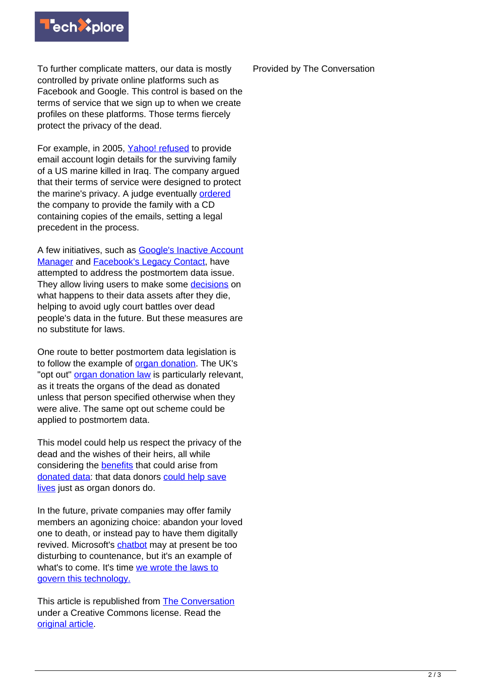

To further complicate matters, our data is mostly controlled by private online platforms such as Facebook and Google. This control is based on the terms of service that we sign up to when we create profiles on these platforms. Those terms fiercely protect the privacy of the dead.

For example, in 2005, [Yahoo! refused](https://www.cnet.com/news/yahoo-releases-e-mail-of-deceased-marine/) to provide email account login details for the surviving family of a US marine killed in Iraq. The company argued that their terms of service were designed to protect the marine's privacy. A judge eventually [ordered](http://usatoday30.usatoday.com/tech/news/2005-04-21-marine-e-mail_x.htm?POE=TECISVA) the company to provide the family with a CD containing copies of the emails, setting a legal precedent in the process.

A few initiatives, such as **Google's Inactive Account** [Manager](https://www.theatlantic.com/technology/archive/2013/04/google-death-a-tool-to-take-care-of-your-gmail-when-youre-gone/274934/) and [Facebook's Legacy Contact,](https://publications.aston.ac.uk/id/eprint/37748/1/Post_mortem_privacy_2_0_theory_law_and_technology.pdf) have attempted to address the postmortem data issue. They allow living users to make some [decisions](https://www.tandfonline.com/doi/full/10.1080/13600869.2017.1275116) on what happens to their data assets after they die, helping to avoid ugly court battles over dead people's data in the future. But these measures are no substitute for laws.

One route to better postmortem data legislation is to follow the example of [organ donation](https://research.aston.ac.uk/en/publications/posthumous-medical-data-donation-the-case-for-a-legal-framework). The UK's "opt out" [organ donation law](https://www.organdonation.nhs.uk/uk-laws/organ-donation-law-in-england/) is particularly relevant, as it treats the organs of the dead as donated unless that person specified otherwise when they were alive. The same opt out scheme could be applied to postmortem data.

This model could help us respect the privacy of the dead and the wishes of their heirs, all while considering the [benefits](https://link.springer.com/chapter/10.1007/978-3-030-04363-6_11#:~:text=Posthumous%2520medical%2520data%2520donation%2520(PMDD)%2520refers%2520to%2520the%2520act%2520of,health%2520services%252C%2520throughout%2520their%2520life.) that could arise from [donated data:](https://papers.ssrn.com/sol3/papers.cfm?abstract_id=3536264) that data donors [could help save](https://ec.europa.eu/digital-single-market/en/news/proposal-regulation-european-data-governance-data-governance-act) [lives](https://ec.europa.eu/digital-single-market/en/news/proposal-regulation-european-data-governance-data-governance-act) just as organ donors do.

In the future, private companies may offer family members an agonizing choice: abandon your loved one to death, or instead pay to have them digitally revived. Microsoft's [chatbot](https://techxplore.com/tags/chatbot/) may at present be too disturbing to countenance, but it's an example of what's to come. It's time [we wrote the laws to](https://thefutureofprivacylaw.wordpress.com/) [govern this technology.](https://thefutureofprivacylaw.wordpress.com/)

This article is republished from [The Conversation](https://theconversation.com) under a Creative Commons license. Read the [original article](https://theconversation.com/only-2-of-conversations-end-when-we-want-them-to-heres-why-thats-cause-for-celebration-156231).

Provided by The Conversation